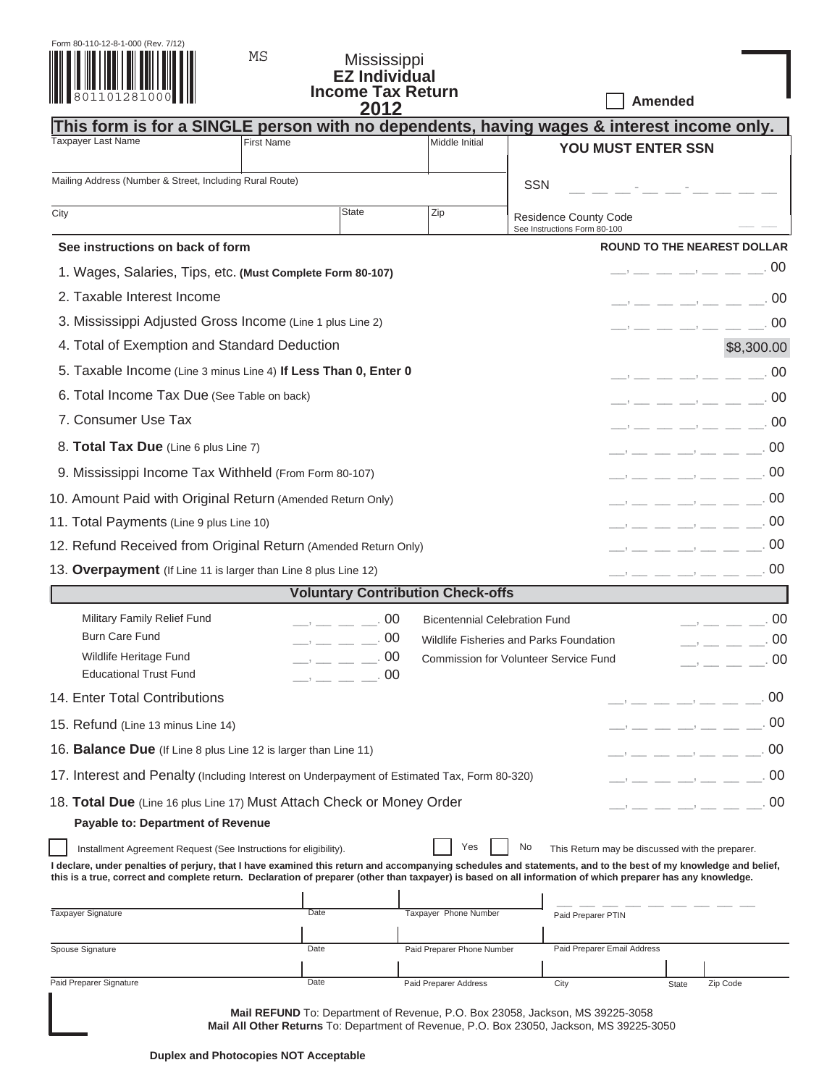| Form 80-110-12-8-1-000 (Rev. 7/12) |              |  |  |  |  |  |  |
|------------------------------------|--------------|--|--|--|--|--|--|
|                                    |              |  |  |  |  |  |  |
|                                    |              |  |  |  |  |  |  |
|                                    |              |  |  |  |  |  |  |
|                                    | 801101281000 |  |  |  |  |  |  |
|                                    |              |  |  |  |  |  |  |
|                                    |              |  |  |  |  |  |  |

## Mississippi **EZ Individual Income Tax Return 2012**

 **Amended**

|                                                                                                                                                                                                                                                                                                                                                                                                                                                                                     |                                                                                                                                                                                                                                                                                                                                                                                                                                                                                                                                                               | LV I L                                                                                                                                                                                                                                                                                                                                                                                                                                                                                                                                                                                                                                                                                                                                                                                                                                                                                                                                                             |                                          | This form is for a SINGLE person with no dependents, having wages & interest income only.                                                                                                                                                                                                                                                                                                                                                                                               |  |  |  |
|-------------------------------------------------------------------------------------------------------------------------------------------------------------------------------------------------------------------------------------------------------------------------------------------------------------------------------------------------------------------------------------------------------------------------------------------------------------------------------------|---------------------------------------------------------------------------------------------------------------------------------------------------------------------------------------------------------------------------------------------------------------------------------------------------------------------------------------------------------------------------------------------------------------------------------------------------------------------------------------------------------------------------------------------------------------|--------------------------------------------------------------------------------------------------------------------------------------------------------------------------------------------------------------------------------------------------------------------------------------------------------------------------------------------------------------------------------------------------------------------------------------------------------------------------------------------------------------------------------------------------------------------------------------------------------------------------------------------------------------------------------------------------------------------------------------------------------------------------------------------------------------------------------------------------------------------------------------------------------------------------------------------------------------------|------------------------------------------|-----------------------------------------------------------------------------------------------------------------------------------------------------------------------------------------------------------------------------------------------------------------------------------------------------------------------------------------------------------------------------------------------------------------------------------------------------------------------------------------|--|--|--|
| <b>Taxpayer Last Name</b>                                                                                                                                                                                                                                                                                                                                                                                                                                                           | <b>First Name</b>                                                                                                                                                                                                                                                                                                                                                                                                                                                                                                                                             |                                                                                                                                                                                                                                                                                                                                                                                                                                                                                                                                                                                                                                                                                                                                                                                                                                                                                                                                                                    | Middle Initial                           | YOU MUST ENTER SSN                                                                                                                                                                                                                                                                                                                                                                                                                                                                      |  |  |  |
| Mailing Address (Number & Street, Including Rural Route)                                                                                                                                                                                                                                                                                                                                                                                                                            |                                                                                                                                                                                                                                                                                                                                                                                                                                                                                                                                                               |                                                                                                                                                                                                                                                                                                                                                                                                                                                                                                                                                                                                                                                                                                                                                                                                                                                                                                                                                                    |                                          | <b>SSN</b>                                                                                                                                                                                                                                                                                                                                                                                                                                                                              |  |  |  |
| City                                                                                                                                                                                                                                                                                                                                                                                                                                                                                |                                                                                                                                                                                                                                                                                                                                                                                                                                                                                                                                                               | <b>State</b>                                                                                                                                                                                                                                                                                                                                                                                                                                                                                                                                                                                                                                                                                                                                                                                                                                                                                                                                                       | Zip                                      | <b>Residence County Code</b><br>See Instructions Form 80-100                                                                                                                                                                                                                                                                                                                                                                                                                            |  |  |  |
| See instructions on back of form                                                                                                                                                                                                                                                                                                                                                                                                                                                    |                                                                                                                                                                                                                                                                                                                                                                                                                                                                                                                                                               |                                                                                                                                                                                                                                                                                                                                                                                                                                                                                                                                                                                                                                                                                                                                                                                                                                                                                                                                                                    |                                          | <b>ROUND TO THE NEAREST DOLLAR</b>                                                                                                                                                                                                                                                                                                                                                                                                                                                      |  |  |  |
| 1. Wages, Salaries, Tips, etc. (Must Complete Form 80-107)                                                                                                                                                                                                                                                                                                                                                                                                                          |                                                                                                                                                                                                                                                                                                                                                                                                                                                                                                                                                               |                                                                                                                                                                                                                                                                                                                                                                                                                                                                                                                                                                                                                                                                                                                                                                                                                                                                                                                                                                    |                                          | $\longrightarrow$ $\_\,\_\,\_\,\_\,\_\,\_\,\_\,\_\,\_$ .00                                                                                                                                                                                                                                                                                                                                                                                                                              |  |  |  |
| 2. Taxable Interest Income                                                                                                                                                                                                                                                                                                                                                                                                                                                          |                                                                                                                                                                                                                                                                                                                                                                                                                                                                                                                                                               |                                                                                                                                                                                                                                                                                                                                                                                                                                                                                                                                                                                                                                                                                                                                                                                                                                                                                                                                                                    |                                          | -00<br>$\frac{1}{1}$ , $\frac{1}{1}$ , $\frac{1}{1}$ , $\frac{1}{1}$ , $\frac{1}{1}$ , $\frac{1}{1}$ , $\frac{1}{1}$ , $\frac{1}{1}$ , $\frac{1}{1}$                                                                                                                                                                                                                                                                                                                                    |  |  |  |
| 3. Mississippi Adjusted Gross Income (Line 1 plus Line 2)                                                                                                                                                                                                                                                                                                                                                                                                                           |                                                                                                                                                                                                                                                                                                                                                                                                                                                                                                                                                               |                                                                                                                                                                                                                                                                                                                                                                                                                                                                                                                                                                                                                                                                                                                                                                                                                                                                                                                                                                    |                                          | 00<br>$\frac{1}{1}$ $\frac{1}{1}$ $\frac{1}{1}$ $\frac{1}{1}$ $\frac{1}{1}$ $\frac{1}{1}$ $\frac{1}{1}$ $\frac{1}{1}$ $\frac{1}{1}$ $\frac{1}{1}$ $\frac{1}{1}$ $\frac{1}{1}$ $\frac{1}{1}$ $\frac{1}{1}$ $\frac{1}{1}$ $\frac{1}{1}$ $\frac{1}{1}$ $\frac{1}{1}$ $\frac{1}{1}$ $\frac{1}{1}$ $\frac{1}{1}$ $\frac{1}{1}$                                                                                                                                                               |  |  |  |
| 4. Total of Exemption and Standard Deduction                                                                                                                                                                                                                                                                                                                                                                                                                                        |                                                                                                                                                                                                                                                                                                                                                                                                                                                                                                                                                               |                                                                                                                                                                                                                                                                                                                                                                                                                                                                                                                                                                                                                                                                                                                                                                                                                                                                                                                                                                    |                                          | \$8,300.00                                                                                                                                                                                                                                                                                                                                                                                                                                                                              |  |  |  |
| 5. Taxable Income (Line 3 minus Line 4) If Less Than 0, Enter 0                                                                                                                                                                                                                                                                                                                                                                                                                     |                                                                                                                                                                                                                                                                                                                                                                                                                                                                                                                                                               |                                                                                                                                                                                                                                                                                                                                                                                                                                                                                                                                                                                                                                                                                                                                                                                                                                                                                                                                                                    |                                          | .00<br>$\overline{\phantom{iiiiiiiiiiiii}}$                                                                                                                                                                                                                                                                                                                                                                                                                                             |  |  |  |
| 6. Total Income Tax Due (See Table on back)                                                                                                                                                                                                                                                                                                                                                                                                                                         |                                                                                                                                                                                                                                                                                                                                                                                                                                                                                                                                                               |                                                                                                                                                                                                                                                                                                                                                                                                                                                                                                                                                                                                                                                                                                                                                                                                                                                                                                                                                                    |                                          |                                                                                                                                                                                                                                                                                                                                                                                                                                                                                         |  |  |  |
| 7. Consumer Use Tax<br>$\frac{1}{1}$ . The contract of $\frac{1}{1}$ and $\frac{1}{1}$ and $\frac{1}{1}$ and $\frac{1}{1}$ and $\frac{1}{1}$ and $\frac{1}{1}$                                                                                                                                                                                                                                                                                                                      |                                                                                                                                                                                                                                                                                                                                                                                                                                                                                                                                                               |                                                                                                                                                                                                                                                                                                                                                                                                                                                                                                                                                                                                                                                                                                                                                                                                                                                                                                                                                                    |                                          |                                                                                                                                                                                                                                                                                                                                                                                                                                                                                         |  |  |  |
| 8. Total Tax Due (Line 6 plus Line 7)<br>$\frac{1}{1}$ . The contract of the contract of $\frac{1}{1}$ . The contract of $\frac{1}{1}$ . The contract of $\frac{1}{1}$                                                                                                                                                                                                                                                                                                              |                                                                                                                                                                                                                                                                                                                                                                                                                                                                                                                                                               |                                                                                                                                                                                                                                                                                                                                                                                                                                                                                                                                                                                                                                                                                                                                                                                                                                                                                                                                                                    |                                          |                                                                                                                                                                                                                                                                                                                                                                                                                                                                                         |  |  |  |
|                                                                                                                                                                                                                                                                                                                                                                                                                                                                                     | 9. Mississippi Income Tax Withheld (From Form 80-107)                                                                                                                                                                                                                                                                                                                                                                                                                                                                                                         |                                                                                                                                                                                                                                                                                                                                                                                                                                                                                                                                                                                                                                                                                                                                                                                                                                                                                                                                                                    |                                          |                                                                                                                                                                                                                                                                                                                                                                                                                                                                                         |  |  |  |
| 10. Amount Paid with Original Return (Amended Return Only)<br>$\frac{1}{1-\frac{1}{1-\frac{1}{1-\frac{1}{1-\frac{1}{1-\frac{1}{1-\frac{1}{1-\frac{1}{1-\frac{1}{1-\frac{1}{1-\frac{1}{1-\frac{1}{1-\frac{1}{1-\frac{1}{1-\frac{1}{1-\frac{1}{1-\frac{1}{1-\frac{1}{1-\frac{1}{1-\frac{1}{1-\frac{1}{1-\frac{1}{1-\frac{1}{1-\frac{1}{1-\frac{1}{1-\frac{1}{1-\frac{1}{1-\frac{1}{1-\frac{1}{1-\frac{1}{1-\frac{1}{1-\frac{1}{1-\frac{1}{1-\frac{1}{1-\frac{1}{1-\frac{1}{1-\frac{1$ |                                                                                                                                                                                                                                                                                                                                                                                                                                                                                                                                                               |                                                                                                                                                                                                                                                                                                                                                                                                                                                                                                                                                                                                                                                                                                                                                                                                                                                                                                                                                                    |                                          |                                                                                                                                                                                                                                                                                                                                                                                                                                                                                         |  |  |  |
| 11. Total Payments (Line 9 plus Line 10)<br>$\frac{1}{1}$ , $\frac{1}{1}$ , $\frac{1}{1}$ , $\frac{1}{1}$ , $\frac{1}{1}$ , $\frac{1}{1}$ , $\frac{1}{1}$ , $\frac{1}{1}$ , $\frac{1}{1}$                                                                                                                                                                                                                                                                                           |                                                                                                                                                                                                                                                                                                                                                                                                                                                                                                                                                               |                                                                                                                                                                                                                                                                                                                                                                                                                                                                                                                                                                                                                                                                                                                                                                                                                                                                                                                                                                    |                                          |                                                                                                                                                                                                                                                                                                                                                                                                                                                                                         |  |  |  |
| 12. Refund Received from Original Return (Amended Return Only)                                                                                                                                                                                                                                                                                                                                                                                                                      |                                                                                                                                                                                                                                                                                                                                                                                                                                                                                                                                                               |                                                                                                                                                                                                                                                                                                                                                                                                                                                                                                                                                                                                                                                                                                                                                                                                                                                                                                                                                                    |                                          | 00<br>$\frac{1}{1-\alpha} \frac{1}{1-\alpha} \frac{1}{1-\alpha} \frac{1}{1-\alpha} \frac{1}{1-\alpha} \frac{1}{1-\alpha} \frac{1}{1-\alpha} \frac{1}{1-\alpha} \frac{1}{1-\alpha} \frac{1}{1-\alpha} \frac{1}{1-\alpha} \frac{1}{1-\alpha} \frac{1}{1-\alpha} \frac{1}{1-\alpha} \frac{1}{1-\alpha} \frac{1}{1-\alpha} \frac{1}{1-\alpha} \frac{1}{1-\alpha} \frac{1}{1-\alpha} \frac{1}{1-\alpha} \frac{1}{1-\alpha} \frac{1}{1-\alpha} \frac{1}{1-\alpha} \frac{1}{1-\alpha} \frac{1$ |  |  |  |
| 13. Overpayment (If Line 11 is larger than Line 8 plus Line 12)                                                                                                                                                                                                                                                                                                                                                                                                                     |                                                                                                                                                                                                                                                                                                                                                                                                                                                                                                                                                               |                                                                                                                                                                                                                                                                                                                                                                                                                                                                                                                                                                                                                                                                                                                                                                                                                                                                                                                                                                    |                                          | $\longrightarrow$ $\longrightarrow$ $\longrightarrow$ $\longrightarrow$ $\longrightarrow$ $\longrightarrow$ 00                                                                                                                                                                                                                                                                                                                                                                          |  |  |  |
|                                                                                                                                                                                                                                                                                                                                                                                                                                                                                     |                                                                                                                                                                                                                                                                                                                                                                                                                                                                                                                                                               |                                                                                                                                                                                                                                                                                                                                                                                                                                                                                                                                                                                                                                                                                                                                                                                                                                                                                                                                                                    | <b>Voluntary Contribution Check-offs</b> |                                                                                                                                                                                                                                                                                                                                                                                                                                                                                         |  |  |  |
| Military Family Relief Fund                                                                                                                                                                                                                                                                                                                                                                                                                                                         | $\longrightarrow$ $\_\_$ $\_\_$ 00<br>$\overline{\phantom{a}}$ $\overline{\phantom{a}}$ $\overline{\phantom{a}}$ $\overline{\phantom{a}}$ $\overline{\phantom{a}}$ $\overline{\phantom{a}}$ $\overline{\phantom{a}}$ $\overline{\phantom{a}}$ $\overline{\phantom{a}}$ $\overline{\phantom{a}}$ $\overline{\phantom{a}}$ $\overline{\phantom{a}}$ $\overline{\phantom{a}}$ $\overline{\phantom{a}}$ $\overline{\phantom{a}}$ $\overline{\phantom{a}}$ $\overline{\phantom{a}}$ $\overline{\phantom{a}}$ $\overline{\$<br><b>Bicentennial Celebration Fund</b> |                                                                                                                                                                                                                                                                                                                                                                                                                                                                                                                                                                                                                                                                                                                                                                                                                                                                                                                                                                    |                                          |                                                                                                                                                                                                                                                                                                                                                                                                                                                                                         |  |  |  |
| <b>Burn Care Fund</b><br>Wildlife Heritage Fund                                                                                                                                                                                                                                                                                                                                                                                                                                     |                                                                                                                                                                                                                                                                                                                                                                                                                                                                                                                                                               | $\overline{\phantom{a}}$ $\overline{\phantom{a}}$ $\overline{\phantom{a}}$ $\overline{\phantom{a}}$ $\overline{\phantom{a}}$ $\overline{\phantom{a}}$ $\overline{\phantom{a}}$ $\overline{\phantom{a}}$ $\overline{\phantom{a}}$ $\overline{\phantom{a}}$ $\overline{\phantom{a}}$ $\overline{\phantom{a}}$ $\overline{\phantom{a}}$ $\overline{\phantom{a}}$ $\overline{\phantom{a}}$ $\overline{\phantom{a}}$ $\overline{\phantom{a}}$ $\overline{\phantom{a}}$ $\overline{\$                                                                                                                                                                                                                                                                                                                                                                                                                                                                                    |                                          | -00<br>Wildlife Fisheries and Parks Foundation<br>$\overline{\phantom{a}}$<br><b>Commission for Volunteer Service Fund</b>                                                                                                                                                                                                                                                                                                                                                              |  |  |  |
| <b>Educational Trust Fund</b>                                                                                                                                                                                                                                                                                                                                                                                                                                                       |                                                                                                                                                                                                                                                                                                                                                                                                                                                                                                                                                               | $\overline{\phantom{a}}$ $\overline{\phantom{a}}$ $\overline{\phantom{a}}$ $\overline{\phantom{a}}$ $\overline{\phantom{a}}$ $\overline{\phantom{a}}$ $\overline{\phantom{a}}$ $\overline{\phantom{a}}$ $\overline{\phantom{a}}$ $\overline{\phantom{a}}$ $\overline{\phantom{a}}$ $\overline{\phantom{a}}$ $\overline{\phantom{a}}$ $\overline{\phantom{a}}$ $\overline{\phantom{a}}$ $\overline{\phantom{a}}$ $\overline{\phantom{a}}$ $\overline{\phantom{a}}$ $\overline{\$<br>$\overline{\phantom{a}}$ $\overline{\phantom{a}}$ $\overline{\phantom{a}}$ $\overline{\phantom{a}}$ $\overline{\phantom{a}}$ $\overline{\phantom{a}}$ $\overline{\phantom{a}}$ $\overline{\phantom{a}}$ $\overline{\phantom{a}}$ $\overline{\phantom{a}}$ $\overline{\phantom{a}}$ $\overline{\phantom{a}}$ $\overline{\phantom{a}}$ $\overline{\phantom{a}}$ $\overline{\phantom{a}}$ $\overline{\phantom{a}}$ $\overline{\phantom{a}}$ $\overline{\phantom{a}}$ $\overline{\$ |                                          | $\overline{\phantom{a}}$ $\overline{\phantom{a}}$ $\overline{\phantom{a}}$ $\overline{\phantom{a}}$ $\overline{\phantom{a}}$ $\overline{\phantom{a}}$ $\overline{\phantom{a}}$ $\overline{\phantom{a}}$ $\overline{\phantom{a}}$ $\overline{\phantom{a}}$ $\overline{\phantom{a}}$ $\overline{\phantom{a}}$ $\overline{\phantom{a}}$ $\overline{\phantom{a}}$ $\overline{\phantom{a}}$ $\overline{\phantom{a}}$ $\overline{\phantom{a}}$ $\overline{\phantom{a}}$ $\overline{\$         |  |  |  |
| 14. Enter Total Contributions                                                                                                                                                                                                                                                                                                                                                                                                                                                       |                                                                                                                                                                                                                                                                                                                                                                                                                                                                                                                                                               |                                                                                                                                                                                                                                                                                                                                                                                                                                                                                                                                                                                                                                                                                                                                                                                                                                                                                                                                                                    |                                          | 00<br>$\rightarrow$ __ _ _ _ _ _ _ _ _                                                                                                                                                                                                                                                                                                                                                                                                                                                  |  |  |  |
| 15. Refund (Line 13 minus Line 14)                                                                                                                                                                                                                                                                                                                                                                                                                                                  |                                                                                                                                                                                                                                                                                                                                                                                                                                                                                                                                                               |                                                                                                                                                                                                                                                                                                                                                                                                                                                                                                                                                                                                                                                                                                                                                                                                                                                                                                                                                                    |                                          | 00                                                                                                                                                                                                                                                                                                                                                                                                                                                                                      |  |  |  |
| 16. <b>Balance Due</b> (If Line 8 plus Line 12 is larger than Line 11)                                                                                                                                                                                                                                                                                                                                                                                                              | 00                                                                                                                                                                                                                                                                                                                                                                                                                                                                                                                                                            |                                                                                                                                                                                                                                                                                                                                                                                                                                                                                                                                                                                                                                                                                                                                                                                                                                                                                                                                                                    |                                          |                                                                                                                                                                                                                                                                                                                                                                                                                                                                                         |  |  |  |
|                                                                                                                                                                                                                                                                                                                                                                                                                                                                                     | 17. Interest and Penalty (Including Interest on Underpayment of Estimated Tax, Form 80-320)                                                                                                                                                                                                                                                                                                                                                                                                                                                                   |                                                                                                                                                                                                                                                                                                                                                                                                                                                                                                                                                                                                                                                                                                                                                                                                                                                                                                                                                                    |                                          |                                                                                                                                                                                                                                                                                                                                                                                                                                                                                         |  |  |  |
| 18. Total Due (Line 16 plus Line 17) Must Attach Check or Money Order<br><b>Payable to: Department of Revenue</b>                                                                                                                                                                                                                                                                                                                                                                   |                                                                                                                                                                                                                                                                                                                                                                                                                                                                                                                                                               |                                                                                                                                                                                                                                                                                                                                                                                                                                                                                                                                                                                                                                                                                                                                                                                                                                                                                                                                                                    |                                          | 00                                                                                                                                                                                                                                                                                                                                                                                                                                                                                      |  |  |  |
| Installment Agreement Request (See Instructions for eligibility).                                                                                                                                                                                                                                                                                                                                                                                                                   |                                                                                                                                                                                                                                                                                                                                                                                                                                                                                                                                                               |                                                                                                                                                                                                                                                                                                                                                                                                                                                                                                                                                                                                                                                                                                                                                                                                                                                                                                                                                                    | Yes                                      | No<br>This Return may be discussed with the preparer.<br>I declare, under penalties of perjury, that I have examined this return and accompanying schedules and statements, and to the best of my knowledge and belief,<br>this is a true, correct and complete return. Declaration of preparer (other than taxpayer) is based on all information of which preparer has any knowledge.                                                                                                  |  |  |  |
|                                                                                                                                                                                                                                                                                                                                                                                                                                                                                     |                                                                                                                                                                                                                                                                                                                                                                                                                                                                                                                                                               |                                                                                                                                                                                                                                                                                                                                                                                                                                                                                                                                                                                                                                                                                                                                                                                                                                                                                                                                                                    |                                          |                                                                                                                                                                                                                                                                                                                                                                                                                                                                                         |  |  |  |
| Taxpayer Signature                                                                                                                                                                                                                                                                                                                                                                                                                                                                  | Date                                                                                                                                                                                                                                                                                                                                                                                                                                                                                                                                                          |                                                                                                                                                                                                                                                                                                                                                                                                                                                                                                                                                                                                                                                                                                                                                                                                                                                                                                                                                                    | Taxpayer Phone Number                    | Paid Preparer PTIN                                                                                                                                                                                                                                                                                                                                                                                                                                                                      |  |  |  |
| Spouse Signature                                                                                                                                                                                                                                                                                                                                                                                                                                                                    | Date                                                                                                                                                                                                                                                                                                                                                                                                                                                                                                                                                          |                                                                                                                                                                                                                                                                                                                                                                                                                                                                                                                                                                                                                                                                                                                                                                                                                                                                                                                                                                    | Paid Preparer Phone Number               | Paid Preparer Email Address                                                                                                                                                                                                                                                                                                                                                                                                                                                             |  |  |  |
| Paid Preparer Signature                                                                                                                                                                                                                                                                                                                                                                                                                                                             | Date                                                                                                                                                                                                                                                                                                                                                                                                                                                                                                                                                          |                                                                                                                                                                                                                                                                                                                                                                                                                                                                                                                                                                                                                                                                                                                                                                                                                                                                                                                                                                    | Paid Preparer Address                    | City<br>Zip Code<br><b>State</b>                                                                                                                                                                                                                                                                                                                                                                                                                                                        |  |  |  |
|                                                                                                                                                                                                                                                                                                                                                                                                                                                                                     |                                                                                                                                                                                                                                                                                                                                                                                                                                                                                                                                                               |                                                                                                                                                                                                                                                                                                                                                                                                                                                                                                                                                                                                                                                                                                                                                                                                                                                                                                                                                                    |                                          | Mail REFUND To: Department of Revenue, P.O. Box 23058, Jackson, MS 39225-3058                                                                                                                                                                                                                                                                                                                                                                                                           |  |  |  |

**Mail All Other Returns** To: Department of Revenue, P.O. Box 23050, Jackson, MS 39225-3050